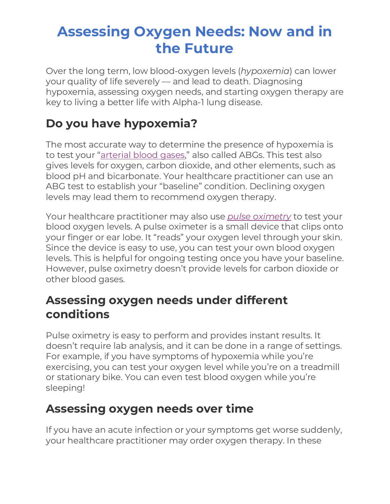# **Assessing Oxygen Needs: Now and in the Future**

Over the long term, low blood-oxygen levels (*hypoxemia*) can lower your quality of life severely — and lead to death. Diagnosing hypoxemia, assessing oxygen needs, and starting oxygen therapy are key to living a better life with Alpha-1 lung disease.

## **Do you have hypoxemia?**

The most accurate way to determine the presence of hypoxemia is to test your ["arterial blood gases,](https://www.alphanet.org/living-with-alpha-1/arterial-blood-gases-and-pulse-oximetry/)" also called ABGs. This test also gives levels for oxygen, carbon dioxide, and other elements, such as blood pH and bicarbonate. Your healthcare practitioner can use an ABG test to establish your "baseline" condition. Declining oxygen levels may lead them to recommend oxygen therapy.

Your healthcare practitioner may also use *[pulse oximetry](https://www.alphanet.org/living-with-alpha-1/arterial-blood-gases-and-pulse-oximetry/)* to test your blood oxygen levels. A pulse oximeter is a small device that clips onto your finger or ear lobe. It "reads" your oxygen level through your skin. Since the device is easy to use, you can test your own blood oxygen levels. This is helpful for ongoing testing once you have your baseline. However, pulse oximetry doesn't provide levels for carbon dioxide or other blood gases.

#### **Assessing oxygen needs under different conditions**

Pulse oximetry is easy to perform and provides instant results. It doesn't require lab analysis, and it can be done in a range of settings. For example, if you have symptoms of hypoxemia while you're exercising, you can test your oxygen level while you're on a treadmill or stationary bike. You can even test blood oxygen while you're sleeping!

#### **Assessing oxygen needs over time**

If you have an acute infection or your symptoms get worse suddenly, your healthcare practitioner may order oxygen therapy. In these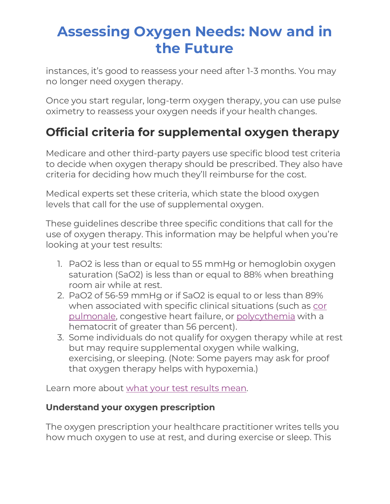# **Assessing Oxygen Needs: Now and in the Future**

instances, it's good to reassess your need after 1-3 months. You may no longer need oxygen therapy.

Once you start regular, long-term oxygen therapy, you can use pulse oximetry to reassess your oxygen needs if your health changes.

### **Official criteria for supplemental oxygen therapy**

Medicare and other third-party payers use specific blood test criteria to decide when oxygen therapy should be prescribed. They also have criteria for deciding how much they'll reimburse for the cost.

Medical experts set these criteria, which state the blood oxygen levels that call for the use of supplemental oxygen.

These guidelines describe three specific conditions that call for the use of oxygen therapy. This information may be helpful when you're looking at your test results:

- 1. PaO2 is less than or equal to 55 mmHg or hemoglobin oxygen saturation (SaO2) is less than or equal to 88% when breathing room air while at rest.
- 2. PaO2 of 56-59 mmHg or if SaO2 is equal to or less than 89% when associated with specific clinical situations (such as [cor](https://medlineplus.gov/ency/article/000129.htm)  [pulmonale,](https://medlineplus.gov/ency/article/000129.htm) congestive heart failure, or [polycythemia](https://www.mayoclinic.org/diseases-conditions/polycythemia-vera/symptoms-causes/syc-20355850) with a hematocrit of greater than 56 percent).
- 3. Some individuals do not qualify for oxygen therapy while at rest but may require supplemental oxygen while walking, exercising, or sleeping. (Note: Some payers may ask for proof that oxygen therapy helps with hypoxemia.)

Learn more about [what your test results mean.](https://www.alphanet.org/living-with-alpha-1/arterial-blood-gases-and-pulse-oximetry/)

#### **Understand your oxygen prescription**

The oxygen prescription your healthcare practitioner writes tells you how much oxygen to use at rest, and during exercise or sleep. This